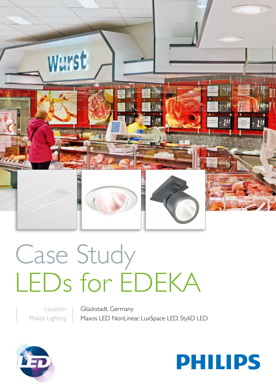

# Case Study LEDs for EDEKA

Location Philips Lighting Glückstadt, Germany Maxos LED NonLinear, LuxSpace LED, StyliD LED



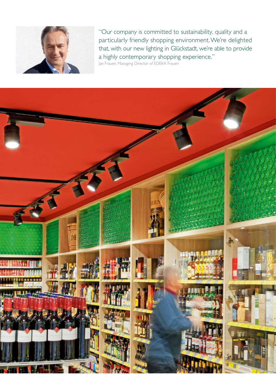

"Our company is committed to sustainability, quality and a particularly friendly shopping environment. We're delighted that, with our new lighting in Glückstadt, we're able to provide a highly contemporary shopping experience." Jan Frauen, Managing Director of EDEKA Frauen

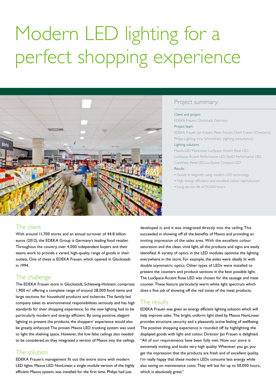# Modern LED lighting for a perfect shopping experience



#### Project summary:

#### Client and project

EDEKA Frauen, Glückstadt, Germany

#### Project team

EDEKA Frauen, Jan Frauen, Peter Frauen, Dierk Frauen (Directors); Philips Lighting, Irina Schmolinsky (lighting consultancy)

#### Lighting solutions

Maxos LED NonLinear, LuxSpace Accent Rose LED, LuxSpace Accent Performance LED, StyliD Performance LED, CoreView Panel LED, LuxSpace Compact LED Results

- Goods lit elegantly using modern LED technology
- High energy efficiency and excellent colour reproduction
- Long service life of 50,000 hours

### The client

With around 11,700 stores and an annual turnover of 44.8 billion euros (2012), the EDEKA Group is Germany's leading food retailer. Throughout the country, over 4,000 independent buyers and their teams work to provide a varied, high-quality range of goods in their outlets. One of these is EDEKA Frauen, which opened in Glückstadt in 1994.

## The challenge

The EDEKA Frauen store in Glückstadt, Schleswig-Holstein, comprises 1,900 m² offering a complete range of around 28,000 food items and large sections for household products and toiletries. The family-led company takes its environmental responsibilities seriously and has high standards for their shopping experience. So the new lighting had to be particularly modern and energy efficient. By using positive, elegant lighting to present the products, the shoppers' experience would also be greatly enhanced. The proven Maxos LED trunking system was used to light the shelving space. However, the low false ceilings also needed to be considered, so they integrated a version of Maxos into the ceilings.

#### The solution

EDEKA Frauen's management fit out the entire store with modern LED lights. Maxos LED NonLinear, a single module version of the highly efficient Maxos system, was installed for the first time. Philips had just

developed it, and it was integrated directly into the ceiling. This succeeded in showing off all the benefits of Maxos and providing an inviting impression of the sales area. With the excellent colour saturation and the clean, vivid light, all the products and signs are easily identified. A variety of optics in the LED modules optimise the lighting everywhere in the store. For example, the aisles were ideally lit with double asymmetric optics. Other types of LEDs were installed to present the counters and produce sections in the best possible light. The LuxSpace Accent Rose LED was chosen for the sausage and meat counter. These feature particularly warm white light spectrum which does a fine job of showing off the red tones of the meat products.

#### The results

EDEKA Frauen was given an energy efficient lighting solution which will help improve sales. The bright, uniform light shed by Maxos NonLinear provides structure, security and a pleasantly active feeling of wellbeing. The positive shopping experience is rounded off by highlighting the displayed goods with light and colour. Director Ian Frauen is delighted. "All of our requirements have been fully met. Now our store is extremely inviting, and looks very high quality. Wherever you go, you get the impression that the products are fresh and of excellent quality. I'm really happy that these modern LEDs consume less energy while also saving on maintenance costs. They will last for up to 50,000 hours, which is absolutely great."